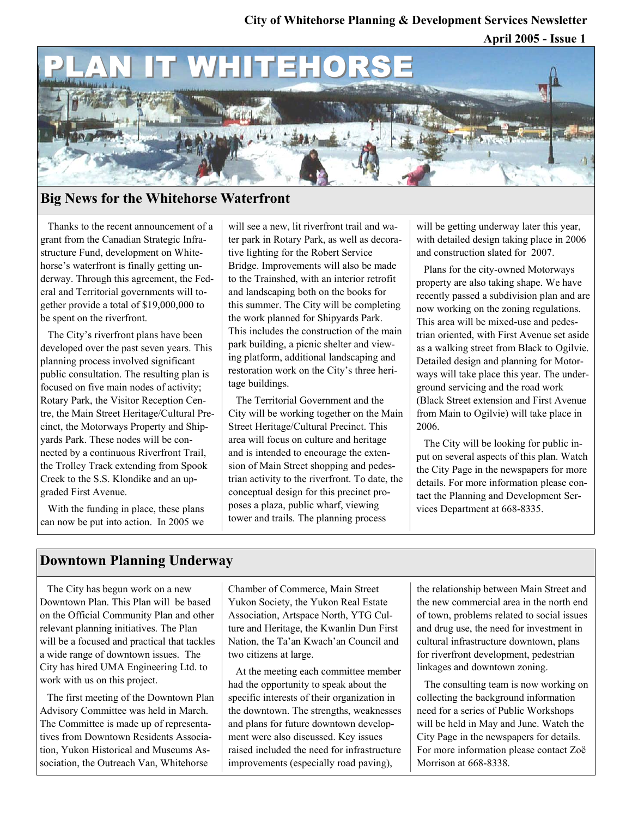### **City of Whitehorse Planning & Development Services Newsletter**

**April 2005 - Issue 1** 



## **Big News for the Whitehorse Waterfront**

Thanks to the recent announcement of a grant from the Canadian Strategic Infrastructure Fund, development on Whitehorse's waterfront is finally getting underway. Through this agreement, the Federal and Territorial governments will together provide a total of \$19,000,000 to be spent on the riverfront.

The City's riverfront plans have been developed over the past seven years. This planning process involved significant public consultation. The resulting plan is focused on five main nodes of activity; Rotary Park, the Visitor Reception Centre, the Main Street Heritage/Cultural Precinct, the Motorways Property and Shipyards Park. These nodes will be connected by a continuous Riverfront Trail, the Trolley Track extending from Spook Creek to the S.S. Klondike and an upgraded First Avenue.

With the funding in place, these plans can now be put into action. In 2005 we

will see a new, lit riverfront trail and water park in Rotary Park, as well as decorative lighting for the Robert Service Bridge. Improvements will also be made to the Trainshed, with an interior retrofit and landscaping both on the books for this summer. The City will be completing the work planned for Shipyards Park. This includes the construction of the main park building, a picnic shelter and viewing platform, additional landscaping and restoration work on the City's three heritage buildings.

The Territorial Government and the City will be working together on the Main Street Heritage/Cultural Precinct. This area will focus on culture and heritage and is intended to encourage the extension of Main Street shopping and pedestrian activity to the riverfront. To date, the conceptual design for this precinct proposes a plaza, public wharf, viewing tower and trails. The planning process

will be getting underway later this year, with detailed design taking place in 2006 and construction slated for 2007.

Plans for the city-owned Motorways property are also taking shape. We have recently passed a subdivision plan and are now working on the zoning regulations. This area will be mixed-use and pedestrian oriented, with First Avenue set aside as a walking street from Black to Ogilvie. Detailed design and planning for Motorways will take place this year. The underground servicing and the road work (Black Street extension and First Avenue from Main to Ogilvie) will take place in 2006.

The City will be looking for public input on several aspects of this plan. Watch the City Page in the newspapers for more details. For more information please contact the Planning and Development Services Department at 668-8335.

## **Downtown Planning Underway**

The City has begun work on a new Downtown Plan. This Plan will be based on the Official Community Plan and other relevant planning initiatives. The Plan will be a focused and practical that tackles a wide range of downtown issues. The City has hired UMA Engineering Ltd. to work with us on this project.

The first meeting of the Downtown Plan Advisory Committee was held in March. The Committee is made up of representatives from Downtown Residents Association, Yukon Historical and Museums Association, the Outreach Van, Whitehorse

Chamber of Commerce, Main Street Yukon Society, the Yukon Real Estate Association, Artspace North, YTG Culture and Heritage, the Kwanlin Dun First Nation, the Ta'an Kwach'an Council and two citizens at large.

At the meeting each committee member had the opportunity to speak about the specific interests of their organization in the downtown. The strengths, weaknesses and plans for future downtown development were also discussed. Key issues raised included the need for infrastructure improvements (especially road paving),

the relationship between Main Street and the new commercial area in the north end of town, problems related to social issues and drug use, the need for investment in cultural infrastructure downtown, plans for riverfront development, pedestrian linkages and downtown zoning.

The consulting team is now working on collecting the background information need for a series of Public Workshops will be held in May and June. Watch the City Page in the newspapers for details. For more information please contact Zoë Morrison at 668-8338.